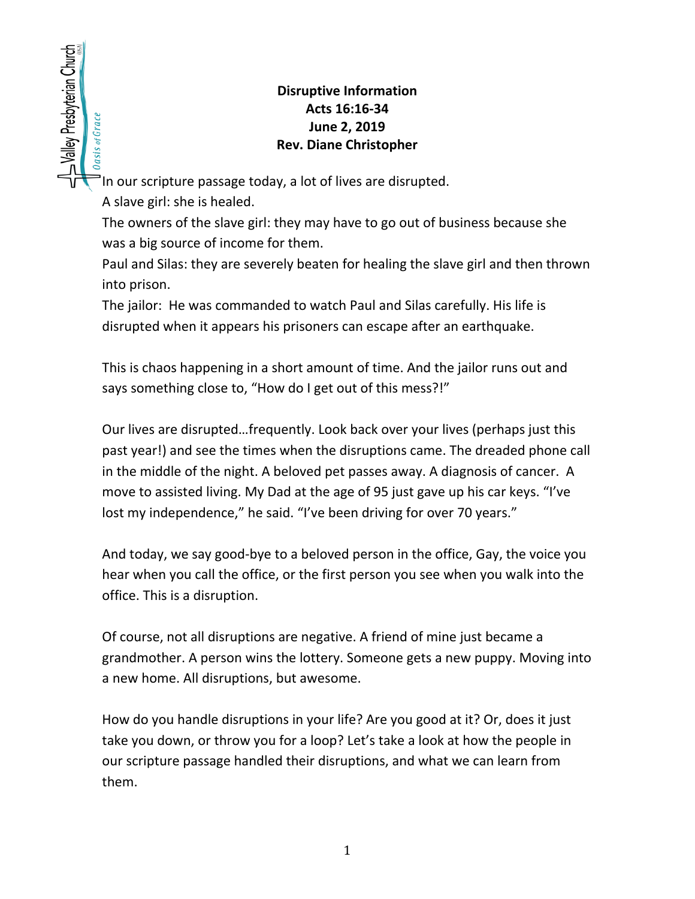## **Disruptive Information Acts 16:16-34 June 2, 2019 Rev. Diane Christopher**

In our scripture passage today, a lot of lives are disrupted.

A slave girl: she is healed.

SValley Presbyterian Church

Oasis of Grace

The owners of the slave girl: they may have to go out of business because she was a big source of income for them.

Paul and Silas: they are severely beaten for healing the slave girl and then thrown into prison.

The jailor: He was commanded to watch Paul and Silas carefully. His life is disrupted when it appears his prisoners can escape after an earthquake.

This is chaos happening in a short amount of time. And the jailor runs out and says something close to, "How do I get out of this mess?!"

Our lives are disrupted…frequently. Look back over your lives (perhaps just this past year!) and see the times when the disruptions came. The dreaded phone call in the middle of the night. A beloved pet passes away. A diagnosis of cancer. A move to assisted living. My Dad at the age of 95 just gave up his car keys. "I've lost my independence," he said. "I've been driving for over 70 years."

And today, we say good-bye to a beloved person in the office, Gay, the voice you hear when you call the office, or the first person you see when you walk into the office. This is a disruption.

Of course, not all disruptions are negative. A friend of mine just became a grandmother. A person wins the lottery. Someone gets a new puppy. Moving into a new home. All disruptions, but awesome.

How do you handle disruptions in your life? Are you good at it? Or, does it just take you down, or throw you for a loop? Let's take a look at how the people in our scripture passage handled their disruptions, and what we can learn from them.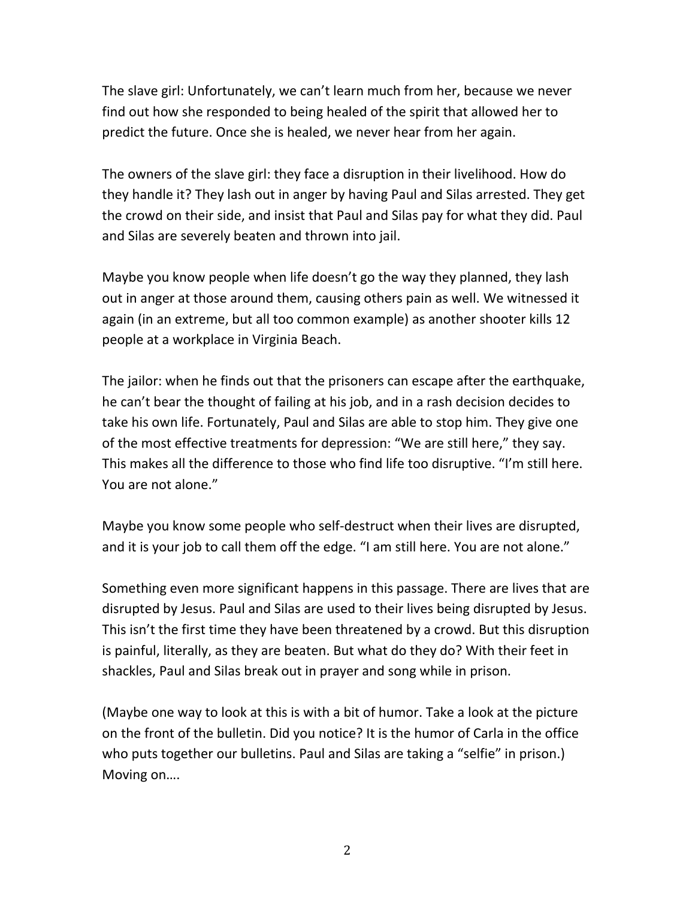The slave girl: Unfortunately, we can't learn much from her, because we never find out how she responded to being healed of the spirit that allowed her to predict the future. Once she is healed, we never hear from her again.

The owners of the slave girl: they face a disruption in their livelihood. How do they handle it? They lash out in anger by having Paul and Silas arrested. They get the crowd on their side, and insist that Paul and Silas pay for what they did. Paul and Silas are severely beaten and thrown into jail.

Maybe you know people when life doesn't go the way they planned, they lash out in anger at those around them, causing others pain as well. We witnessed it again (in an extreme, but all too common example) as another shooter kills 12 people at a workplace in Virginia Beach.

The jailor: when he finds out that the prisoners can escape after the earthquake, he can't bear the thought of failing at his job, and in a rash decision decides to take his own life. Fortunately, Paul and Silas are able to stop him. They give one of the most effective treatments for depression: "We are still here," they say. This makes all the difference to those who find life too disruptive. "I'm still here. You are not alone."

Maybe you know some people who self-destruct when their lives are disrupted, and it is your job to call them off the edge. "I am still here. You are not alone."

Something even more significant happens in this passage. There are lives that are disrupted by Jesus. Paul and Silas are used to their lives being disrupted by Jesus. This isn't the first time they have been threatened by a crowd. But this disruption is painful, literally, as they are beaten. But what do they do? With their feet in shackles, Paul and Silas break out in prayer and song while in prison.

(Maybe one way to look at this is with a bit of humor. Take a look at the picture on the front of the bulletin. Did you notice? It is the humor of Carla in the office who puts together our bulletins. Paul and Silas are taking a "selfie" in prison.) Moving on….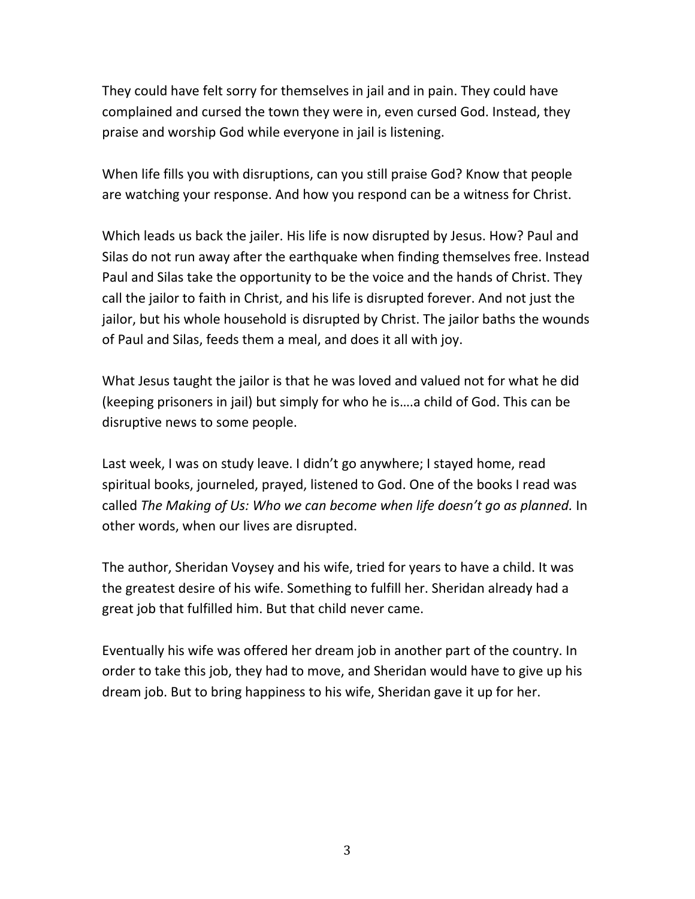They could have felt sorry for themselves in jail and in pain. They could have complained and cursed the town they were in, even cursed God. Instead, they praise and worship God while everyone in jail is listening.

When life fills you with disruptions, can you still praise God? Know that people are watching your response. And how you respond can be a witness for Christ.

Which leads us back the jailer. His life is now disrupted by Jesus. How? Paul and Silas do not run away after the earthquake when finding themselves free. Instead Paul and Silas take the opportunity to be the voice and the hands of Christ. They call the jailor to faith in Christ, and his life is disrupted forever. And not just the jailor, but his whole household is disrupted by Christ. The jailor baths the wounds of Paul and Silas, feeds them a meal, and does it all with joy.

What Jesus taught the jailor is that he was loved and valued not for what he did (keeping prisoners in jail) but simply for who he is….a child of God. This can be disruptive news to some people.

Last week, I was on study leave. I didn't go anywhere; I stayed home, read spiritual books, journeled, prayed, listened to God. One of the books I read was called *The Making of Us: Who we can become when life doesn't go as planned.* In other words, when our lives are disrupted.

The author, Sheridan Voysey and his wife, tried for years to have a child. It was the greatest desire of his wife. Something to fulfill her. Sheridan already had a great job that fulfilled him. But that child never came.

Eventually his wife was offered her dream job in another part of the country. In order to take this job, they had to move, and Sheridan would have to give up his dream job. But to bring happiness to his wife, Sheridan gave it up for her.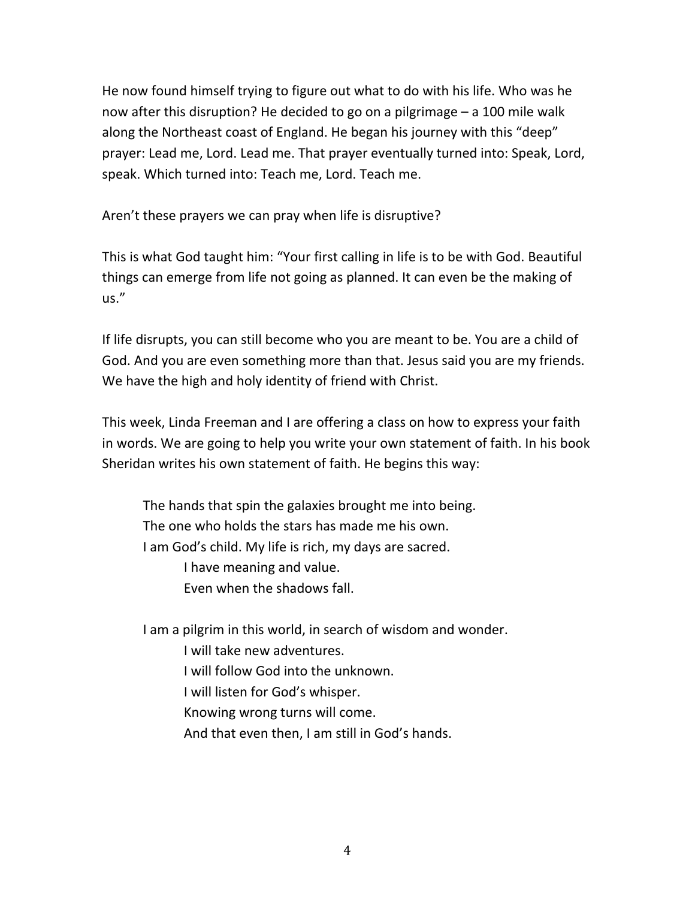He now found himself trying to figure out what to do with his life. Who was he now after this disruption? He decided to go on a pilgrimage – a 100 mile walk along the Northeast coast of England. He began his journey with this "deep" prayer: Lead me, Lord. Lead me. That prayer eventually turned into: Speak, Lord, speak. Which turned into: Teach me, Lord. Teach me.

Aren't these prayers we can pray when life is disruptive?

This is what God taught him: "Your first calling in life is to be with God. Beautiful things can emerge from life not going as planned. It can even be the making of us."

If life disrupts, you can still become who you are meant to be. You are a child of God. And you are even something more than that. Jesus said you are my friends. We have the high and holy identity of friend with Christ.

This week, Linda Freeman and I are offering a class on how to express your faith in words. We are going to help you write your own statement of faith. In his book Sheridan writes his own statement of faith. He begins this way:

The hands that spin the galaxies brought me into being. The one who holds the stars has made me his own. I am God's child. My life is rich, my days are sacred. I have meaning and value. Even when the shadows fall.

I am a pilgrim in this world, in search of wisdom and wonder. I will take new adventures. I will follow God into the unknown. I will listen for God's whisper. Knowing wrong turns will come.

And that even then, I am still in God's hands.